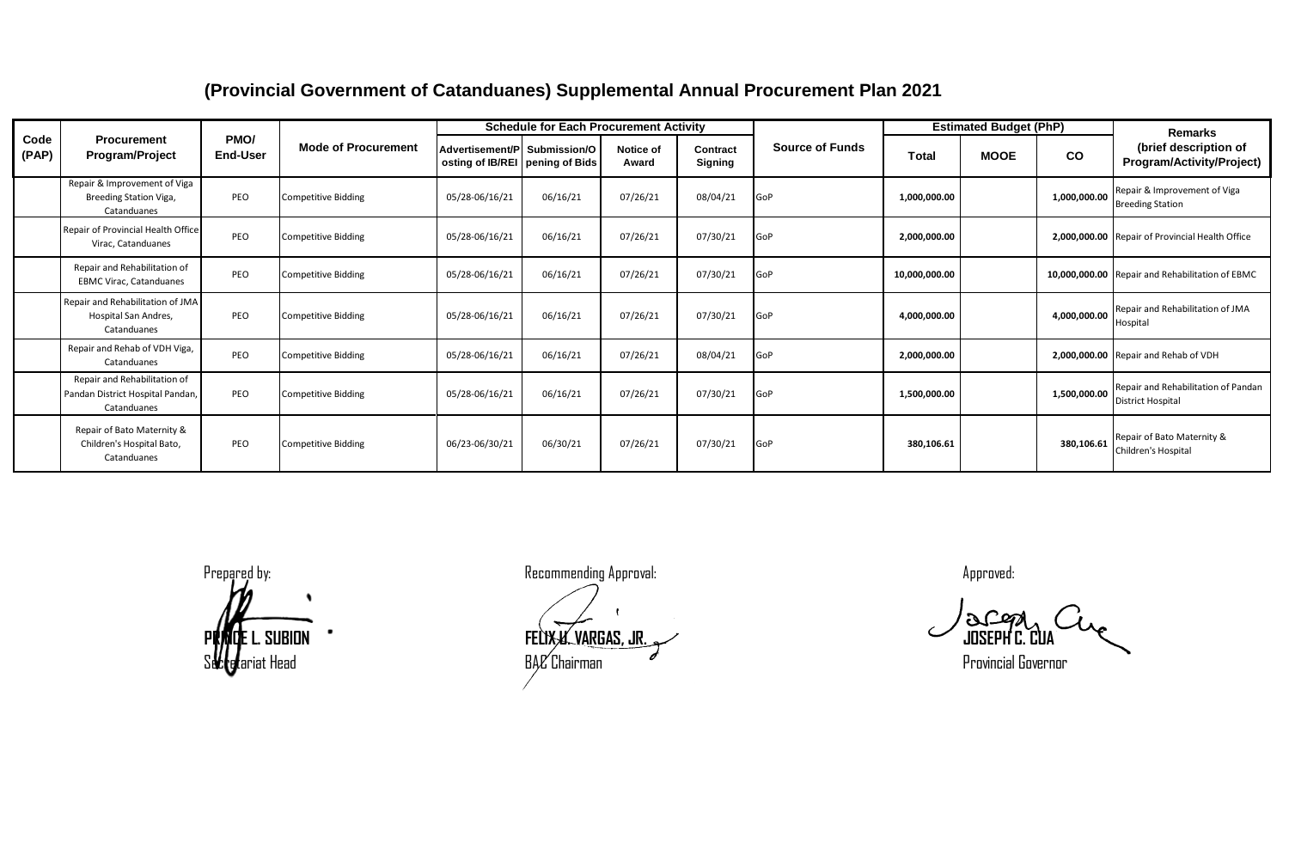## **(Provincial Government of Catanduanes) Supplemental Annual Procurement Plan 2021**

| Code<br>(PAP) | <b>Procurement</b><br><b>Program/Project</b>                                    | PMO/<br><b>End-User</b> | <b>Mode of Procurement</b> | <b>Schedule for Each Procurement Activity</b>                      |          |                           |                     |                        | <b>Estimated Budget (PhP)</b> |             |              | <b>Remarks</b>                                                  |
|---------------|---------------------------------------------------------------------------------|-------------------------|----------------------------|--------------------------------------------------------------------|----------|---------------------------|---------------------|------------------------|-------------------------------|-------------|--------------|-----------------------------------------------------------------|
|               |                                                                                 |                         |                            | Advertisement/PI Submission/O<br>osting of IB/REI   pening of Bids |          | <b>Notice of</b><br>Award | Contract<br>Signing | <b>Source of Funds</b> | Total                         | <b>MOOE</b> | co           | (brief description of<br>Program/Activity/Project)              |
|               | Repair & Improvement of Viga<br>Breeding Station Viga,<br>Catanduanes           | PEO                     | <b>Competitive Bidding</b> | 05/28-06/16/21                                                     | 06/16/21 | 07/26/21                  | 08/04/21            | GoP                    | 1,000,000.00                  |             | 1,000,000.00 | Repair & Improvement of Viga<br><b>Breeding Station</b>         |
|               | Repair of Provincial Health Office<br>Virac, Catanduanes                        | PEO                     | <b>Competitive Bidding</b> | 05/28-06/16/21                                                     | 06/16/21 | 07/26/21                  | 07/30/21            | GoP                    | 2,000,000.00                  |             |              | 2,000,000.00 Repair of Provincial Health Office                 |
|               | Repair and Rehabilitation of<br><b>EBMC Virac, Catanduanes</b>                  | PEO                     | <b>Competitive Bidding</b> | 05/28-06/16/21                                                     | 06/16/21 | 07/26/21                  | 07/30/21            | GoP                    | 10,000,000.00                 |             |              | 10,000,000.00 Repair and Rehabilitation of EBMC                 |
|               | Repair and Rehabilitation of JMA<br><b>Hospital San Andres.</b><br>Catanduanes  | PEO                     | <b>Competitive Bidding</b> | 05/28-06/16/21                                                     | 06/16/21 | 07/26/21                  | 07/30/21            | GoP                    | 4,000,000.00                  |             | 4,000,000.00 | Repair and Rehabilitation of JMA<br>Hospital                    |
|               | Repair and Rehab of VDH Viga,<br>Catanduanes                                    | PEO                     | <b>Competitive Bidding</b> | 05/28-06/16/21                                                     | 06/16/21 | 07/26/21                  | 08/04/21            | GoP                    | 2,000,000.00                  |             |              | 2,000,000.00 Repair and Rehab of VDH                            |
|               | Repair and Rehabilitation of<br>Pandan District Hospital Pandan,<br>Catanduanes | PEO                     | <b>Competitive Bidding</b> | 05/28-06/16/21                                                     | 06/16/21 | 07/26/21                  | 07/30/21            | GoP                    | 1,500,000.00                  |             | 1,500,000.00 | Repair and Rehabilitation of Pandan<br><b>District Hospital</b> |
|               | Repair of Bato Maternity &<br>Children's Hospital Bato,<br>Catanduanes          | PEO                     | <b>Competitive Bidding</b> | 06/23-06/30/21                                                     | 06/30/21 | 07/26/21                  | 07/30/21            | GoP                    | 380,106.61                    |             | 380,106.61   | Repair of Bato Maternity &<br>Children's Hospital               |

Prepared by: Recommending Approval: Approved: **PRINCE L. SUBION FELIX U. VARGAS, JR. JOSEPH C. CUA**  $\epsilon$ eriat Head expansion of BAC Chairman expansion of the secretary of the provincial Governor provincial Governor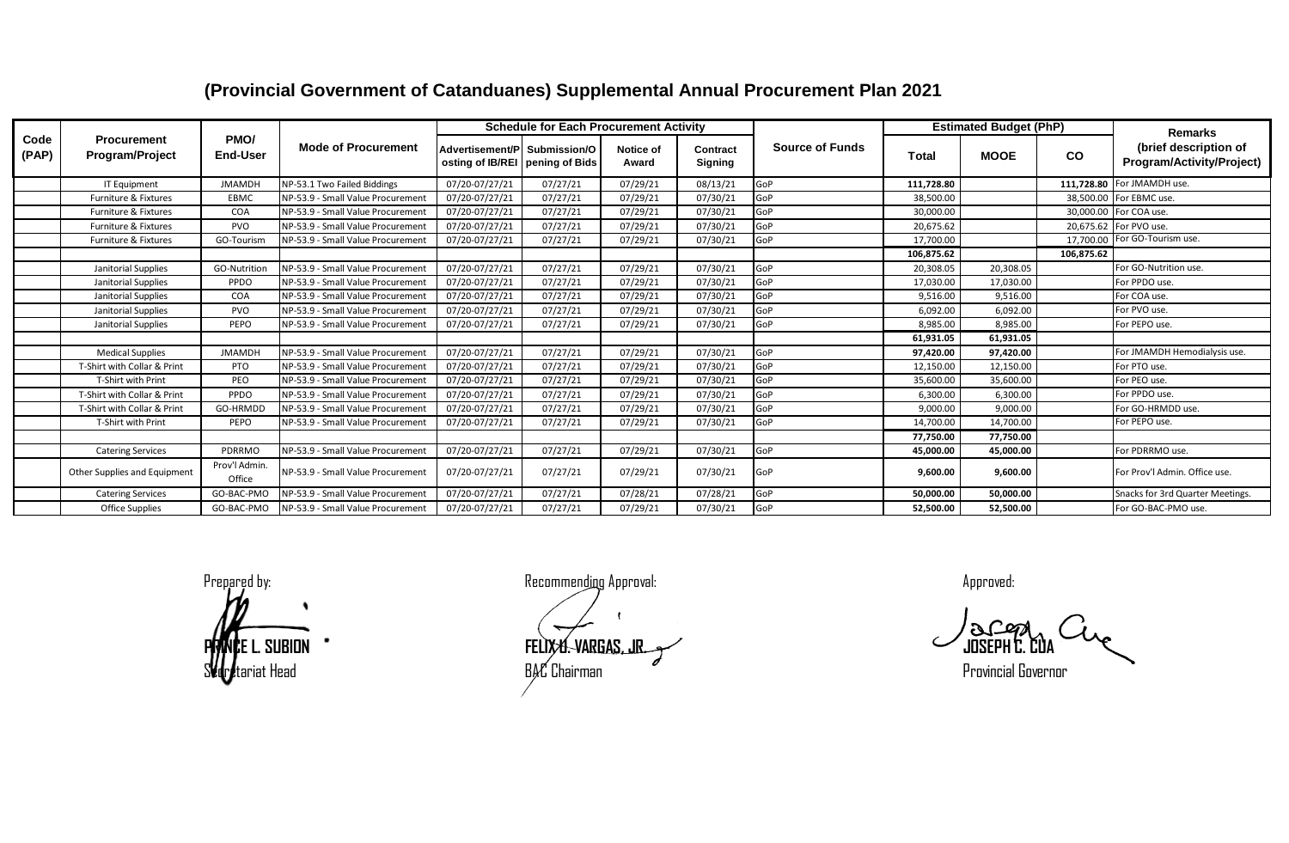## **(Provincial Government of Catanduanes) Supplemental Annual Procurement Plan 2021**

| Code<br>(PAP) | <b>Procurement</b><br>Program/Project | PMO/<br><b>End-User</b> | <b>Mode of Procurement</b>        | <b>Schedule for Each Procurement Activity</b>                   |          |                           |                                   |                        | <b>Estimated Budget (PhP)</b> |             |            | <b>Remarks</b>                                     |
|---------------|---------------------------------------|-------------------------|-----------------------------------|-----------------------------------------------------------------|----------|---------------------------|-----------------------------------|------------------------|-------------------------------|-------------|------------|----------------------------------------------------|
|               |                                       |                         |                                   | Advertisement/P Submission/O<br>osting of IB/REI pening of Bids |          | <b>Notice of</b><br>Award | <b>Contract</b><br><b>Signing</b> | <b>Source of Funds</b> | <b>Total</b>                  | <b>MOOE</b> | <b>CO</b>  | (brief description of<br>Program/Activity/Project) |
|               | <b>IT Equipment</b>                   | <b>JMAMDH</b>           | NP-53.1 Two Failed Biddings       | 07/20-07/27/21                                                  | 07/27/21 | 07/29/21                  | 08/13/21                          | GoP                    | 111.728.80                    |             |            | 111,728.80 For JMAMDH use.                         |
|               | Furniture & Fixtures                  | EBMC                    | NP-53.9 - Small Value Procurement | 07/20-07/27/21                                                  | 07/27/21 | 07/29/21                  | 07/30/21                          | GoP                    | 38,500.00                     |             |            | 38,500.00 For EBMC use.                            |
|               | <b>Furniture &amp; Fixtures</b>       | COA                     | NP-53.9 - Small Value Procurement | 07/20-07/27/21                                                  | 07/27/21 | 07/29/21                  | 07/30/21                          | GoP                    | 30,000.00                     |             |            | 30,000.00 For COA use.                             |
|               | Furniture & Fixtures                  | PVO                     | NP-53.9 - Small Value Procurement | 07/20-07/27/21                                                  | 07/27/21 | 07/29/21                  | 07/30/21                          | GoP                    | 20,675.62                     |             |            | 20,675.62 For PVO use.                             |
|               | Furniture & Fixtures                  | GO-Tourism              | NP-53.9 - Small Value Procurement | 07/20-07/27/21                                                  | 07/27/21 | 07/29/21                  | 07/30/21                          | GoP                    | 17,700.00                     |             |            | 17,700.00 For GO-Tourism use.                      |
|               |                                       |                         |                                   |                                                                 |          |                           |                                   |                        | 106,875.62                    |             | 106,875.62 |                                                    |
|               | Janitorial Supplies                   | GO-Nutrition            | NP-53.9 - Small Value Procurement | 07/20-07/27/21                                                  | 07/27/21 | 07/29/21                  | 07/30/21                          | GoP                    | 20,308.05                     | 20,308.05   |            | For GO-Nutrition use.                              |
|               | Janitorial Supplies                   | PPDO                    | NP-53.9 - Small Value Procurement | 07/20-07/27/21                                                  | 07/27/21 | 07/29/21                  | 07/30/21                          | GoP                    | 17,030.00                     | 17,030.00   |            | For PPDO use.                                      |
|               | Janitorial Supplies                   | COA                     | NP-53.9 - Small Value Procurement | 07/20-07/27/21                                                  | 07/27/21 | 07/29/21                  | 07/30/21                          | GoP                    | 9,516.00                      | 9,516.00    |            | For COA use.                                       |
|               | Janitorial Supplies                   | PVO                     | NP-53.9 - Small Value Procurement | 07/20-07/27/21                                                  | 07/27/21 | 07/29/21                  | 07/30/21                          | GoP                    | 6,092.00                      | 6,092.00    |            | For PVO use.                                       |
|               | Janitorial Supplies                   | PEPO                    | NP-53.9 - Small Value Procurement | 07/20-07/27/21                                                  | 07/27/21 | 07/29/21                  | 07/30/21                          | GoP                    | 8,985.00                      | 8,985.00    |            | For PEPO use.                                      |
|               |                                       |                         |                                   |                                                                 |          |                           |                                   |                        | 61,931.05                     | 61,931.05   |            |                                                    |
|               | <b>Medical Supplies</b>               | <b>JMAMDH</b>           | NP-53.9 - Small Value Procurement | 07/20-07/27/21                                                  | 07/27/21 | 07/29/21                  | 07/30/21                          | GoP                    | 97.420.00                     | 97,420.00   |            | For JMAMDH Hemodialysis use.                       |
|               | T-Shirt with Collar & Print           | PTO                     | NP-53.9 - Small Value Procurement | 07/20-07/27/21                                                  | 07/27/21 | 07/29/21                  | 07/30/21                          | GoP                    | 12,150.00                     | 12,150.00   |            | For PTO use.                                       |
|               | T-Shirt with Print                    | PEO                     | NP-53.9 - Small Value Procurement | 07/20-07/27/21                                                  | 07/27/21 | 07/29/21                  | 07/30/21                          | GoP                    | 35,600.00                     | 35,600.00   |            | For PEO use.                                       |
|               | T-Shirt with Collar & Print           | PPDO                    | NP-53.9 - Small Value Procurement | 07/20-07/27/21                                                  | 07/27/21 | 07/29/21                  | 07/30/21                          | GoP                    | 6,300.00                      | 6,300.00    |            | For PPDO use.                                      |
|               | T-Shirt with Collar & Print           | GO-HRMDD                | NP-53.9 - Small Value Procurement | 07/20-07/27/21                                                  | 07/27/21 | 07/29/21                  | 07/30/21                          | GoP                    | 9,000.00                      | 9,000.00    |            | For GO-HRMDD use.                                  |
|               | T-Shirt with Print                    | PEPO                    | NP-53.9 - Small Value Procurement | 07/20-07/27/21                                                  | 07/27/21 | 07/29/21                  | 07/30/21                          | <b>GoP</b>             | 14,700.00                     | 14,700.00   |            | For PEPO use.                                      |
|               |                                       |                         |                                   |                                                                 |          |                           |                                   |                        | 77,750.00                     | 77,750.00   |            |                                                    |
|               | <b>Catering Services</b>              | PDRRMO                  | NP-53.9 - Small Value Procurement | 07/20-07/27/21                                                  | 07/27/21 | 07/29/21                  | 07/30/21                          | GoP                    | 45,000.00                     | 45,000.00   |            | For PDRRMO use.                                    |
|               | Other Supplies and Equipment          | Prov'l Admin.<br>Office | NP-53.9 - Small Value Procurement | 07/20-07/27/21                                                  | 07/27/21 | 07/29/21                  | 07/30/21                          | GoP                    | 9,600.00                      | 9,600.00    |            | For Prov'l Admin. Office use.                      |
|               | <b>Catering Services</b>              | GO-BAC-PMO              | NP-53.9 - Small Value Procurement | 07/20-07/27/21                                                  | 07/27/21 | 07/28/21                  | 07/28/21                          | GoP                    | 50,000.00                     | 50,000.00   |            | Snacks for 3rd Quarter Meetings.                   |
|               | <b>Office Supplies</b>                | GO-BAC-PMO              | NP-53.9 - Small Value Procurement | 07/20-07/27/21                                                  | 07/27/21 | 07/29/21                  | 07/30/21                          | GoP                    | 52,500.00                     | 52,500.00   |            | For GO-BAC-PMO use.                                |

Prepared by: example a state of the Recommending Approval: a state of the Approved: Approved: **PRINCE L. SUBION FELIX U. VARGAS, JR. JOSEPH C. CUA**  $\mathsf{B}\mathcal{H}$  Chairman extending the control of the Provincial Governor extending  $\mathsf{B}\mathcal{H}$